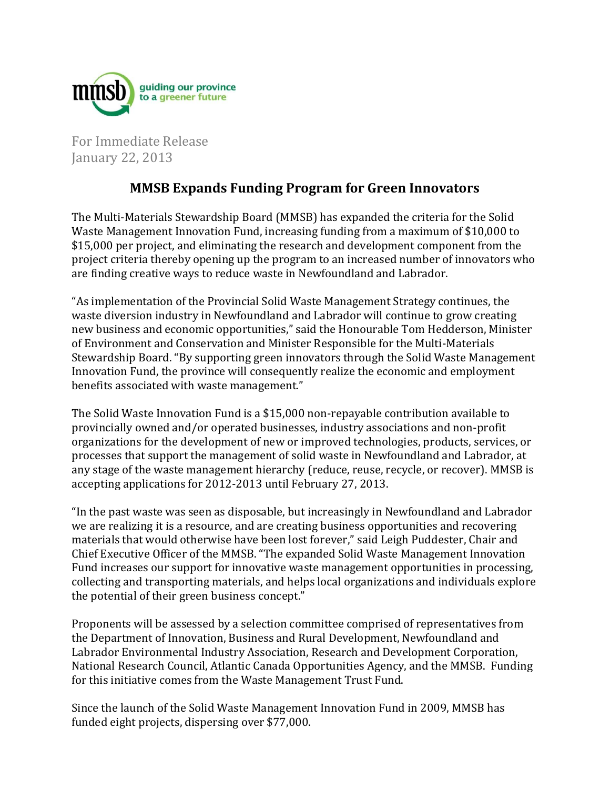

For Immediate Release January 22, 2013

## **MMSB Expands Funding Program for Green Innovators**

The Multi-Materials Stewardship Board (MMSB) has expanded the criteria for the Solid Waste Management Innovation Fund, increasing funding from a maximum of \$10,000 to \$15,000 per project, and eliminating the research and development component from the project criteria thereby opening up the program to an increased number of innovators who are finding creative ways to reduce waste in Newfoundland and Labrador.

"As implementation of the Provincial Solid Waste Management Strategy continues, the waste diversion industry in Newfoundland and Labrador will continue to grow creating new business and economic opportunities," said the Honourable Tom Hedderson, Minister of Environment and Conservation and Minister Responsible for the Multi-Materials Stewardship Board. "By supporting green innovators through the Solid Waste Management Innovation Fund, the province will consequently realize the economic and employment benefits associated with waste management."

The Solid Waste Innovation Fund is a \$15,000 non-repayable contribution available to provincially owned and/or operated businesses, industry associations and non-profit organizations for the development of new or improved technologies, products, services, or processes that support the management of solid waste in Newfoundland and Labrador, at any stage of the waste management hierarchy (reduce, reuse, recycle, or recover). MMSB is accepting applications for 2012-2013 until February 27, 2013.

"In the past waste was seen as disposable, but increasingly in Newfoundland and Labrador we are realizing it is a resource, and are creating business opportunities and recovering materials that would otherwise have been lost forever," said Leigh Puddester, Chair and Chief Executive Officer of the MMSB. "The expanded Solid Waste Management Innovation Fund increases our support for innovative waste management opportunities in processing, collecting and transporting materials, and helps local organizations and individuals explore the potential of their green business concept."

Proponents will be assessed by a selection committee comprised of representatives from the Department of Innovation, Business and Rural Development, Newfoundland and Labrador Environmental Industry Association, Research and Development Corporation, National Research Council, Atlantic Canada Opportunities Agency, and the MMSB. Funding for this initiative comes from the Waste Management Trust Fund.

Since the launch of the Solid Waste Management Innovation Fund in 2009, MMSB has funded eight projects, dispersing over \$77,000.